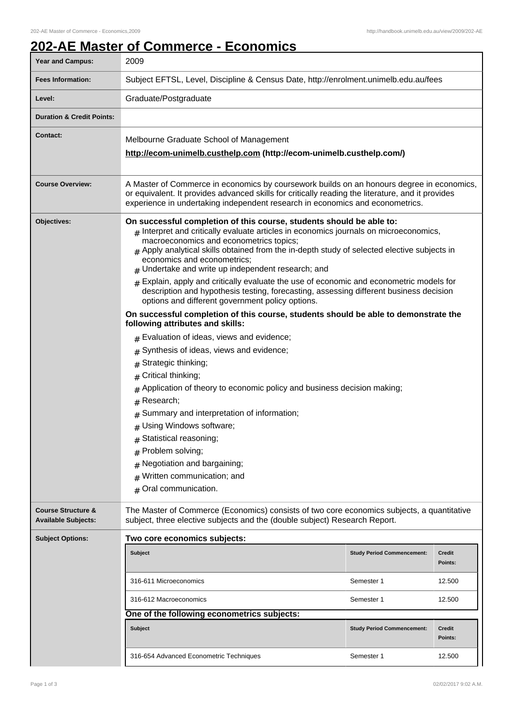## **202-AE Master of Commerce - Economics**

| <b>Year and Campus:</b>                                     | 2009                                                                                                                                                                                                                                                                                                                                                                                                                                                                                                                                                                                                                                            |                                                               |                                              |
|-------------------------------------------------------------|-------------------------------------------------------------------------------------------------------------------------------------------------------------------------------------------------------------------------------------------------------------------------------------------------------------------------------------------------------------------------------------------------------------------------------------------------------------------------------------------------------------------------------------------------------------------------------------------------------------------------------------------------|---------------------------------------------------------------|----------------------------------------------|
| <b>Fees Information:</b>                                    | Subject EFTSL, Level, Discipline & Census Date, http://enrolment.unimelb.edu.au/fees                                                                                                                                                                                                                                                                                                                                                                                                                                                                                                                                                            |                                                               |                                              |
| Level:                                                      | Graduate/Postgraduate                                                                                                                                                                                                                                                                                                                                                                                                                                                                                                                                                                                                                           |                                                               |                                              |
| <b>Duration &amp; Credit Points:</b>                        |                                                                                                                                                                                                                                                                                                                                                                                                                                                                                                                                                                                                                                                 |                                                               |                                              |
| <b>Contact:</b>                                             | Melbourne Graduate School of Management<br>http://ecom-unimelb.custhelp.com (http://ecom-unimelb.custhelp.com/)                                                                                                                                                                                                                                                                                                                                                                                                                                                                                                                                 |                                                               |                                              |
| <b>Course Overview:</b>                                     | A Master of Commerce in economics by coursework builds on an honours degree in economics,<br>or equivalent. It provides advanced skills for critically reading the literature, and it provides<br>experience in undertaking independent research in economics and econometrics.                                                                                                                                                                                                                                                                                                                                                                 |                                                               |                                              |
| Objectives:                                                 | On successful completion of this course, students should be able to:<br>$_{\#}$ Interpret and critically evaluate articles in economics journals on microeconomics,<br>macroeconomics and econometrics topics;<br># Apply analytical skills obtained from the in-depth study of selected elective subjects in<br>economics and econometrics;<br>$#$ Undertake and write up independent research; and<br>$*$ Explain, apply and critically evaluate the use of economic and econometric models for<br>description and hypothesis testing, forecasting, assessing different business decision<br>options and different government policy options. |                                                               |                                              |
|                                                             | On successful completion of this course, students should be able to demonstrate the<br>following attributes and skills:                                                                                                                                                                                                                                                                                                                                                                                                                                                                                                                         |                                                               |                                              |
|                                                             | $#$ Evaluation of ideas, views and evidence;<br>Synthesis of ideas, views and evidence;<br>Strategic thinking;<br>#<br>Critical thinking;<br>#<br>Application of theory to economic policy and business decision making;<br>#<br>Research;<br>#<br>Summary and interpretation of information;<br>#<br>Using Windows software;<br>#<br># Statistical reasoning;<br># Problem solving;<br>Negotiation and bargaining;<br>#<br>Written communication; and<br>#<br>Oral communication.<br>$\#$                                                                                                                                                      |                                                               |                                              |
| <b>Course Structure &amp;</b><br><b>Available Subjects:</b> | The Master of Commerce (Economics) consists of two core economics subjects, a quantitative<br>subject, three elective subjects and the (double subject) Research Report.                                                                                                                                                                                                                                                                                                                                                                                                                                                                        |                                                               |                                              |
| <b>Subject Options:</b>                                     | Two core economics subjects:<br><b>Subject</b><br>316-611 Microeconomics<br>316-612 Macroeconomics<br>One of the following econometrics subjects:                                                                                                                                                                                                                                                                                                                                                                                                                                                                                               | <b>Study Period Commencement:</b><br>Semester 1<br>Semester 1 | <b>Credit</b><br>Points:<br>12.500<br>12.500 |
|                                                             | <b>Subject</b>                                                                                                                                                                                                                                                                                                                                                                                                                                                                                                                                                                                                                                  | <b>Study Period Commencement:</b>                             | Credit<br>Points:                            |
|                                                             | 316-654 Advanced Econometric Techniques                                                                                                                                                                                                                                                                                                                                                                                                                                                                                                                                                                                                         | Semester 1                                                    | 12.500                                       |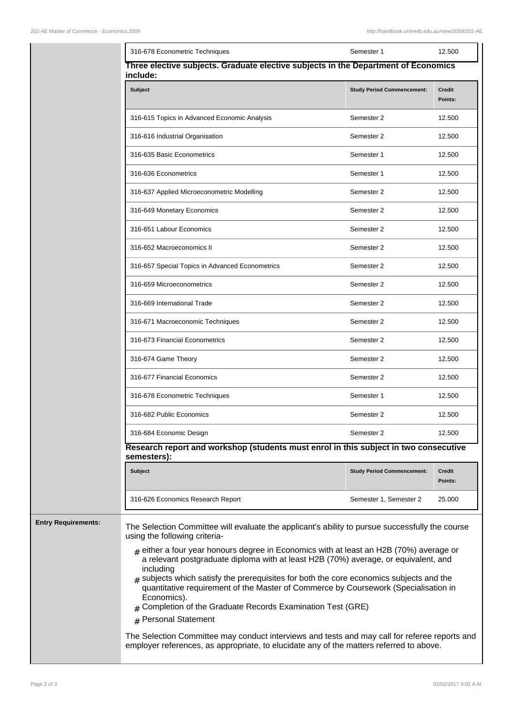|                     | 316-678 Econometric Techniques                                                                                                                                                                                                                                                                                                                                                                                                                                                                                                                                                                                                       | Semester 1                        | 12.500                   |  |  |
|---------------------|--------------------------------------------------------------------------------------------------------------------------------------------------------------------------------------------------------------------------------------------------------------------------------------------------------------------------------------------------------------------------------------------------------------------------------------------------------------------------------------------------------------------------------------------------------------------------------------------------------------------------------------|-----------------------------------|--------------------------|--|--|
|                     | Three elective subjects. Graduate elective subjects in the Department of Economics<br>include:                                                                                                                                                                                                                                                                                                                                                                                                                                                                                                                                       |                                   |                          |  |  |
|                     | Subject                                                                                                                                                                                                                                                                                                                                                                                                                                                                                                                                                                                                                              | <b>Study Period Commencement:</b> | <b>Credit</b><br>Points: |  |  |
|                     | 316-615 Topics in Advanced Economic Analysis                                                                                                                                                                                                                                                                                                                                                                                                                                                                                                                                                                                         | Semester 2                        | 12.500                   |  |  |
|                     | 316-616 Industrial Organisation                                                                                                                                                                                                                                                                                                                                                                                                                                                                                                                                                                                                      | Semester 2                        | 12.500                   |  |  |
|                     | 316-635 Basic Econometrics                                                                                                                                                                                                                                                                                                                                                                                                                                                                                                                                                                                                           | Semester 1                        | 12.500                   |  |  |
|                     | 316-636 Econometrics                                                                                                                                                                                                                                                                                                                                                                                                                                                                                                                                                                                                                 | Semester 1                        | 12.500                   |  |  |
|                     | 316-637 Applied Microeconometric Modelling                                                                                                                                                                                                                                                                                                                                                                                                                                                                                                                                                                                           | Semester 2                        | 12.500                   |  |  |
|                     | 316-649 Monetary Economics                                                                                                                                                                                                                                                                                                                                                                                                                                                                                                                                                                                                           | Semester 2                        | 12.500                   |  |  |
|                     | 316-651 Labour Economics                                                                                                                                                                                                                                                                                                                                                                                                                                                                                                                                                                                                             | Semester 2                        | 12.500                   |  |  |
|                     | 316-652 Macroeconomics II                                                                                                                                                                                                                                                                                                                                                                                                                                                                                                                                                                                                            | Semester 2                        | 12.500                   |  |  |
|                     | 316-657 Special Topics in Advanced Econometrics                                                                                                                                                                                                                                                                                                                                                                                                                                                                                                                                                                                      | Semester 2                        | 12.500                   |  |  |
|                     | 316-659 Microeconometrics                                                                                                                                                                                                                                                                                                                                                                                                                                                                                                                                                                                                            | Semester 2                        | 12.500                   |  |  |
|                     | 316-669 International Trade                                                                                                                                                                                                                                                                                                                                                                                                                                                                                                                                                                                                          | Semester 2                        | 12.500                   |  |  |
|                     | 316-671 Macroeconomic Techniques                                                                                                                                                                                                                                                                                                                                                                                                                                                                                                                                                                                                     | Semester 2                        | 12.500                   |  |  |
|                     | 316-673 Financial Econometrics                                                                                                                                                                                                                                                                                                                                                                                                                                                                                                                                                                                                       | Semester 2                        | 12.500                   |  |  |
|                     | 316-674 Game Theory                                                                                                                                                                                                                                                                                                                                                                                                                                                                                                                                                                                                                  | Semester 2                        | 12.500                   |  |  |
|                     | 316-677 Financial Economics                                                                                                                                                                                                                                                                                                                                                                                                                                                                                                                                                                                                          | Semester 2                        | 12.500                   |  |  |
|                     | 316-678 Econometric Techniques                                                                                                                                                                                                                                                                                                                                                                                                                                                                                                                                                                                                       | Semester 1                        | 12.500                   |  |  |
|                     | 316-682 Public Economics                                                                                                                                                                                                                                                                                                                                                                                                                                                                                                                                                                                                             | Semester 2                        | 12.500                   |  |  |
|                     | 316-684 Economic Design                                                                                                                                                                                                                                                                                                                                                                                                                                                                                                                                                                                                              | Semester 2                        | 12.500                   |  |  |
|                     | Research report and workshop (students must enrol in this subject in two consecutive<br>semesters):                                                                                                                                                                                                                                                                                                                                                                                                                                                                                                                                  |                                   |                          |  |  |
|                     | <b>Subject</b>                                                                                                                                                                                                                                                                                                                                                                                                                                                                                                                                                                                                                       | <b>Study Period Commencement:</b> | Credit<br>Points:        |  |  |
|                     | 316-626 Economics Research Report                                                                                                                                                                                                                                                                                                                                                                                                                                                                                                                                                                                                    | Semester 1, Semester 2            | 25.000                   |  |  |
| Entry Requirements: | The Selection Committee will evaluate the applicant's ability to pursue successfully the course<br>using the following criteria-<br>$_{\#}$ either a four year honours degree in Economics with at least an H2B (70%) average or<br>a relevant postgraduate diploma with at least H2B (70%) average, or equivalent, and<br>including<br>$_{\#}$ subjects which satisfy the prerequisites for both the core economics subjects and the<br>quantitative requirement of the Master of Commerce by Coursework (Specialisation in<br>Economics).<br>$#$ Completion of the Graduate Records Examination Test (GRE)<br># Personal Statement |                                   |                          |  |  |
|                     | The Selection Committee may conduct interviews and tests and may call for referee reports and<br>employer references, as appropriate, to elucidate any of the matters referred to above.                                                                                                                                                                                                                                                                                                                                                                                                                                             |                                   |                          |  |  |